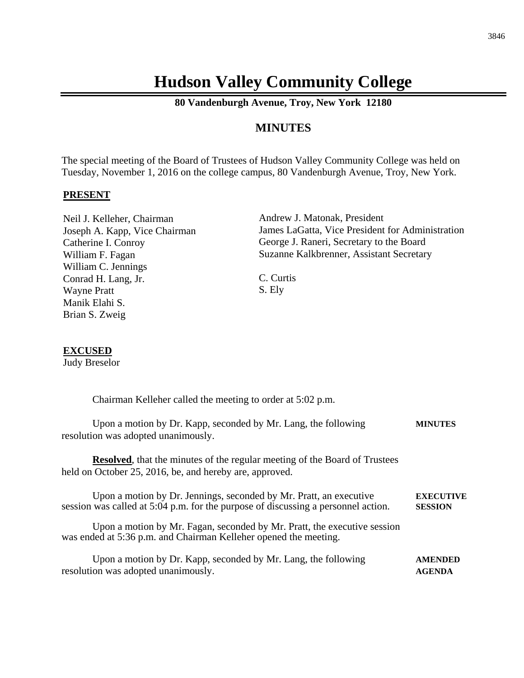# **Hudson Valley Community College**

**80 Vandenburgh Avenue, Troy, New York 12180**

## **MINUTES**

The special meeting of the Board of Trustees of Hudson Valley Community College was held on Tuesday, November 1, 2016 on the college campus, 80 Vandenburgh Avenue, Troy, New York.

#### **PRESENT**

Neil J. Kelleher, Chairman Joseph A. Kapp, Vice Chairman Catherine I. Conroy William F. Fagan William C. Jennings Conrad H. Lang, Jr. Wayne Pratt Manik Elahi S. Brian S. Zweig

Andrew J. Matonak, President James LaGatta, Vice President for Administration George J. Raneri, Secretary to the Board Suzanne Kalkbrenner, Assistant Secretary

C. Curtis S. Ely

### **EXCUSED**

Judy Breselor

| Chairman Kelleher called the meeting to order at 5:02 p.m.                                                                                              |                                    |
|---------------------------------------------------------------------------------------------------------------------------------------------------------|------------------------------------|
| Upon a motion by Dr. Kapp, seconded by Mr. Lang, the following<br>resolution was adopted unanimously.                                                   | <b>MINUTES</b>                     |
| <b>Resolved</b> , that the minutes of the regular meeting of the Board of Trustees<br>held on October 25, 2016, be, and hereby are, approved.           |                                    |
| Upon a motion by Dr. Jennings, seconded by Mr. Pratt, an executive<br>session was called at 5:04 p.m. for the purpose of discussing a personnel action. | <b>EXECUTIVE</b><br><b>SESSION</b> |
| Upon a motion by Mr. Fagan, seconded by Mr. Pratt, the executive session<br>was ended at 5:36 p.m. and Chairman Kelleher opened the meeting.            |                                    |
| Upon a motion by Dr. Kapp, seconded by Mr. Lang, the following<br>resolution was adopted unanimously.                                                   | <b>AMENDED</b><br><b>AGENDA</b>    |